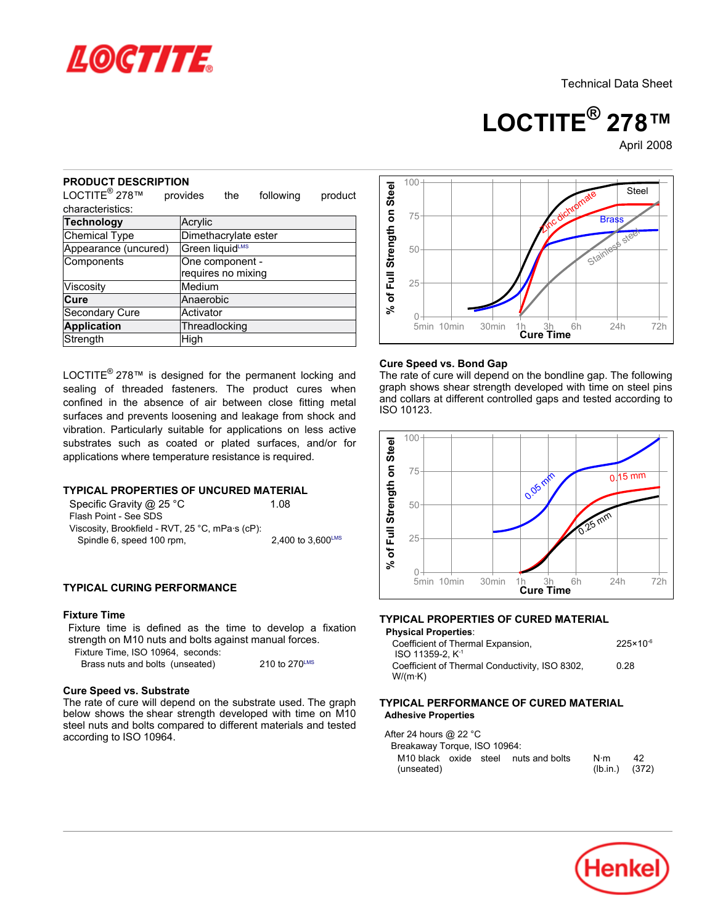

**LOCTITE® 278™**

April-2008

### **PRODUCT DESCRIPTION**

| JV I DL<br>ו זורושנ<br>LOCTITE <sup>®</sup> 278™                                                                                                                                                                                                                                                                                                                                                                                           | provides                              | the             | following                 | product |                                           |  |
|--------------------------------------------------------------------------------------------------------------------------------------------------------------------------------------------------------------------------------------------------------------------------------------------------------------------------------------------------------------------------------------------------------------------------------------------|---------------------------------------|-----------------|---------------------------|---------|-------------------------------------------|--|
| characteristics:                                                                                                                                                                                                                                                                                                                                                                                                                           |                                       |                 |                           |         |                                           |  |
| Technology                                                                                                                                                                                                                                                                                                                                                                                                                                 | Acrylic                               |                 |                           |         |                                           |  |
| <b>Chemical Type</b>                                                                                                                                                                                                                                                                                                                                                                                                                       | Dimethacrylate ester                  |                 |                           |         |                                           |  |
| Appearance (uncured)                                                                                                                                                                                                                                                                                                                                                                                                                       |                                       | Green liquidLMS |                           |         |                                           |  |
| Components                                                                                                                                                                                                                                                                                                                                                                                                                                 | One component -<br>requires no mixing |                 |                           |         | % of Full Strength on Steel               |  |
| Viscosity                                                                                                                                                                                                                                                                                                                                                                                                                                  | Medium                                |                 |                           |         |                                           |  |
| Cure                                                                                                                                                                                                                                                                                                                                                                                                                                       | Anaerobic                             |                 |                           |         |                                           |  |
| <b>Secondary Cure</b>                                                                                                                                                                                                                                                                                                                                                                                                                      | Activator                             |                 |                           |         |                                           |  |
| <b>Application</b>                                                                                                                                                                                                                                                                                                                                                                                                                         | Threadlocking                         |                 |                           |         |                                           |  |
| Strength                                                                                                                                                                                                                                                                                                                                                                                                                                   | High                                  |                 |                           |         |                                           |  |
| surfaces and prevents loosening and leakage from shock and<br>vibration. Particularly suitable for applications on less active<br>substrates such as coated or plated surfaces, and/or for<br>applications where temperature resistance is required.<br><b>TYPICAL PROPERTIES OF UNCURED MATERIAL</b><br>Specific Gravity @ 25 °C<br>Flash Point - See SDS<br>Viscosity, Brookfield - RVT, 25 °C, mPa·s (cP):<br>Spindle 6, speed 100 rpm, |                                       |                 | 1.08<br>2,400 to 3,600LMS |         | <b>ISO</b><br>% of Full Strength on Steel |  |
| <b>TYPICAL CURING PERFORMANCE</b>                                                                                                                                                                                                                                                                                                                                                                                                          |                                       |                 |                           |         |                                           |  |
| <b>Fixture Time</b><br>Fixture time is defined as the time to develop a fixation<br>strength on M10 nuts and bolts against manual forces.<br>Fixture Time, ISO 10964, seconds:<br>Brass nuts and bolts (unseated)                                                                                                                                                                                                                          |                                       |                 | 210 to 270LMS             |         | <b>TYF</b><br>Ph<br>C<br>C<br>٧           |  |
| <b>Cure Speed vs. Substrate</b><br>The rate of cure will depend on the substrate used. The graph<br>below shows the shear strength developed with time on M10<br>steel nuts and bolts compared to different materials and tested<br>according to ISO 10964.                                                                                                                                                                                |                                       |                 |                           |         | TYF<br>Ad<br>Aft                          |  |

## **TYPICAL PROPERTIES OF UNCURED MATERIAL**

| Specific Gravity @ 25 °C                        | 1.08                              |
|-------------------------------------------------|-----------------------------------|
| Flash Point - See SDS                           |                                   |
| Viscosity, Brookfield - RVT, 25 °C, mPa·s (cP): |                                   |
| Spindle 6, speed 100 rpm,                       | $2.400$ to $3.600$ <sup>LMS</sup> |

## **TYPICAL CURING PERFORMANCE**

## **Fixture Time**



### **Cure Speed vs. Bond Gap**

The rate of cure will depend on the bondline gap. The following graph shows shear strength developed with time on steel pins and collars at different controlled gaps and tested according to ISO 10123.



## **TYPICAL PROPERTIES OF CURED MATERIAL**

| <b>Physical Properties:</b>                    |                      |
|------------------------------------------------|----------------------|
| Coefficient of Thermal Expansion,              | $225 \times 10^{-6}$ |
| ISO 11359-2. K <sup>-1</sup>                   |                      |
| Coefficient of Thermal Conductivity, ISO 8302, | 0.28                 |
| $W/(m \cdot K)$                                |                      |

### **TYPICAL PERFORMANCE OF CURED MATERIAL Adhesive Properties**

After 24 hours @ 22 °C Breakaway Torque, ISO 10964: M10 black oxide steel nuts and bolts (unseated) N·m  $42$ <br>(lb.in.) (372)  $(Ib.in.)$ 

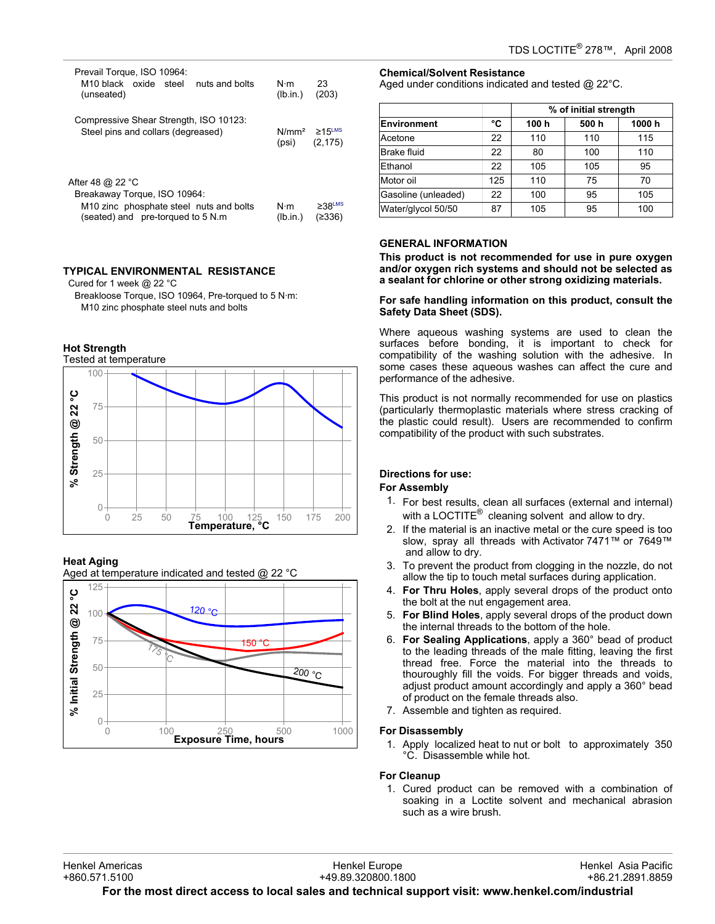| Prevail Torque, ISO 10964:<br>M <sub>10</sub> black oxide steel nuts and bolts<br>(unseated)                                                              | $N \cdot m$<br>(lb.in.)                 | 23<br>(203)                        |
|-----------------------------------------------------------------------------------------------------------------------------------------------------------|-----------------------------------------|------------------------------------|
| Compressive Shear Strength, ISO 10123:<br>Steel pins and collars (degreased)                                                                              | $N/mm^2 \ge 15$ <sup>LMS</sup><br>(psi) | (2, 175)                           |
| After 48 $@$ 22 $^{\circ}$ C<br>Breakaway Torque, ISO 10964:<br>M <sub>10</sub> zinc phosphate steel nuts and bolts<br>(seated) and pre-torqued to 5 N.m. | $N \cdot m$<br>(lb.in.)                 | $\geq 38$ <sup>LMS</sup><br>(≥336) |

# **TYPICAL ENVIRONMENTAL RESISTANCE**

Cured for 1 week @ 22 °C

Breakloose Torque, ISO 10964, Pre-torqued to 5 N·m: M10 zinc phosphate steel nuts and bolts



## **Heat Aging**

Aged at temperature indicated and tested @ 22 °C



## **Chemical/Solvent Resistance**

Aged under conditions indicated and tested @ 22°C.

|                     |     | % of initial strength |       |       |  |
|---------------------|-----|-----------------------|-------|-------|--|
| Environment         | °C  | 100 h                 | 500 h | 1000h |  |
| Acetone             | 22  | 110                   | 110   | 115   |  |
| Brake fluid         | 22  | 80                    | 100   | 110   |  |
| Ethanol             | 22  | 105                   | 105   | 95    |  |
| Motor oil           | 125 | 110                   | 75    | 70    |  |
| Gasoline (unleaded) | 22  | 100                   | 95    | 105   |  |
| Water/glycol 50/50  | 87  | 105                   | 95    | 100   |  |

## **GENERAL INFORMATION**

**This product is not recommended for use in pure oxygen and/or oxygen rich systems and should not be selected as a sealant for chlorine or other strong oxidizing materials.**

## **For safe handling information on this product, consult the Safety Data Sheet (SDS).**

Where aqueous washing systems are used to clean the surfaces before bonding, it is important to check for compatibility of the washing solution with the adhesive. In some cases these aqueous washes can affect the cure and performance of the adhesive.

This product is not normally recommended for use on plastics (particularly thermoplastic materials where stress cracking of the plastic could result). Users are recommended to confirm compatibility of the product with such substrates.

## **Directions for use:**

## **For Assembly**

- 1. For best results, clean all surfaces (external and internal) with a LOCTITE $^{\circledR}$  cleaning solvent and allow to dry.
- 2. If the material is an inactive metal or the cure speed is too slow, spray all threads with Activator 7471™ or 7649™ and allow to dry.
- 3. To prevent the product from clogging in the nozzle, do not allow the tip to touch metal surfaces during application.
- 4. **For Thru Holes**, apply several drops of the product onto the bolt at the nut engagement area.
- 5. **For Blind Holes**, apply several drops of the product down the internal threads to the bottom of the hole.
- 6. **For Sealing Applications**, apply a 360° bead of product to the leading threads of the male fitting, leaving the first thread free. Force the material into the threads to thouroughly fill the voids. For bigger threads and voids, adjust product amount accordingly and apply a 360° bead of product on the female threads also.
- 7. Assemble and tighten as required.

## **For Disassembly**

1. Apply localized heat to nut or bolt to approximately 350 °C. Disassemble while hot.

## **For Cleanup**

1. Cured product can be removed with a combination of soaking in a Loctite solvent and mechanical abrasion such as a wire brush.